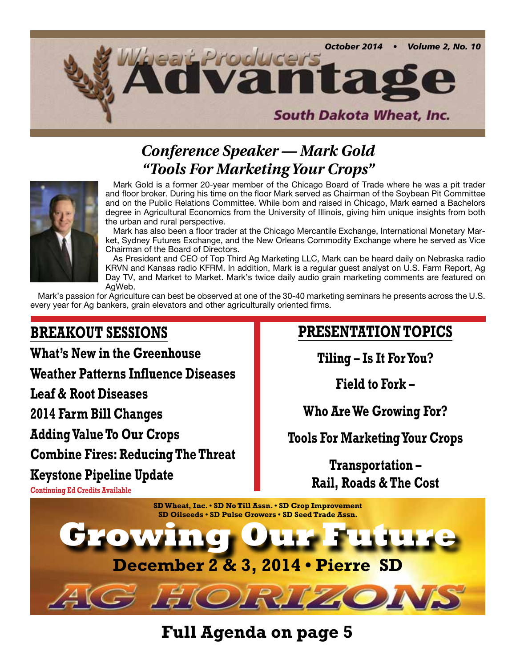

## *Conference Speaker — Mark Gold "Tools For Marketing Your Crops"*



Mark Gold is a former 20-year member of the Chicago Board of Trade where he was a pit trader and floor broker. During his time on the floor Mark served as Chairman of the Soybean Pit Committee and on the Public Relations Committee. While born and raised in Chicago, Mark earned a Bachelors degree in Agricultural Economics from the University of Illinois, giving him unique insights from both the urban and rural perspective.

Mark has also been a floor trader at the Chicago Mercantile Exchange, International Monetary Market, Sydney Futures Exchange, and the New Orleans Commodity Exchange where he served as Vice Chairman of the Board of Directors.

As President and CEO of Top Third Ag Marketing LLC, Mark can be heard daily on Nebraska radio KRVN and Kansas radio KFRM. In addition, Mark is a regular guest analyst on U.S. Farm Report, Ag Day TV, and Market to Market. Mark's twice daily audio grain marketing comments are featured on AgWeb.

Mark's passion for Agriculture can best be observed at one of the 30-40 marketing seminars he presents across the U.S. every year for Ag bankers, grain elevators and other agriculturally oriented firms.

## **BREAKOUT SESSIONS**

**What's New in the Greenhouse**

**Weather Patterns Influence Diseases**

**Leaf & Root Diseases**

**2014 Farm Bill Changes**

**Adding Value To Our Crops**

**Combine Fires: Reducing The Threat**

**Keystone Pipeline Update**

# **PRESENTATION TOPICS**

**Tiling – Is It For You?**

**Field to Fork –**

**Who Are We Growing For?**

## **Tools For Marketing Your Crops**

**Transportation – Rail, Roads & The Cost**



**Full Agenda on page 5**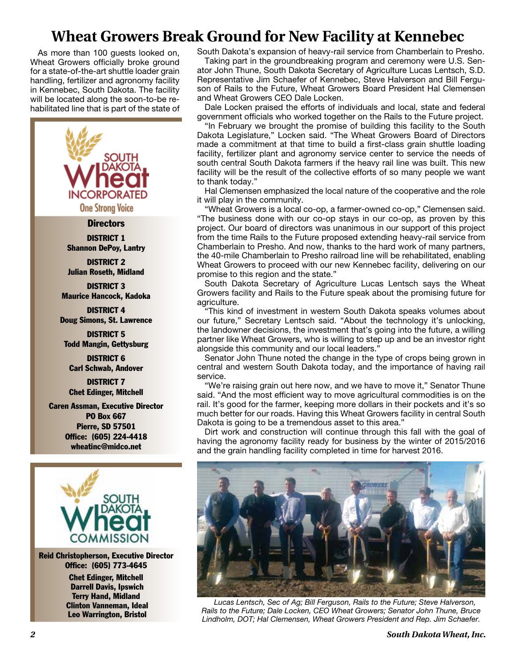## **Wheat Growers Break Ground for New Facility at Kennebec**

As more than 100 guests looked on, Wheat Growers officially broke ground for a state-of-the-art shuttle loader grain handling, fertilizer and agronomy facility in Kennebec, South Dakota. The facility will be located along the soon-to-be rehabilitated line that is part of the state of



DISTRICT 1 Shannon DePoy, Lantry

DISTRICT 2 Julian Roseth, Midland

DISTRICT 3 Maurice Hancock, Kadoka

DISTRICT 4 Doug Simons, St. Lawrence

DISTRICT 5 Todd Mangin, Gettysburg

DISTRICT 6 Carl Schwab, Andover

DISTRICT 7 Chet Edinger, Mitchell

Caren Assman, Executive Director PO Box 667 Pierre, SD 57501 Office: (605) 224-4418 wheatinc@midco.net



Reid Christopherson, Executive Director Office: (605) 773-4645 Chet Edinger, Mitchell

 Darrell Davis, Ipswich Terry Hand, Midland Clinton Vanneman, Ideal Leo Warrington, Bristol

South Dakota's expansion of heavy-rail service from Chamberlain to Presho.

Taking part in the groundbreaking program and ceremony were U.S. Senator John Thune, South Dakota Secretary of Agriculture Lucas Lentsch, S.D. Representative Jim Schaefer of Kennebec, Steve Halverson and Bill Ferguson of Rails to the Future, Wheat Growers Board President Hal Clemensen and Wheat Growers CEO Dale Locken.

Dale Locken praised the efforts of individuals and local, state and federal government officials who worked together on the Rails to the Future project.

"In February we brought the promise of building this facility to the South Dakota Legislature," Locken said. "The Wheat Growers Board of Directors made a commitment at that time to build a first-class grain shuttle loading facility, fertilizer plant and agronomy service center to service the needs of south central South Dakota farmers if the heavy rail line was built. This new facility will be the result of the collective efforts of so many people we want to thank today."

Hal Clemensen emphasized the local nature of the cooperative and the role it will play in the community.

"Wheat Growers is a local co-op, a farmer-owned co-op," Clemensen said. "The business done with our co-op stays in our co-op, as proven by this project. Our board of directors was unanimous in our support of this project from the time Rails to the Future proposed extending heavy-rail service from Chamberlain to Presho. And now, thanks to the hard work of many partners, the 40-mile Chamberlain to Presho railroad line will be rehabilitated, enabling Wheat Growers to proceed with our new Kennebec facility, delivering on our promise to this region and the state."

South Dakota Secretary of Agriculture Lucas Lentsch says the Wheat Growers facility and Rails to the Future speak about the promising future for agriculture.

"This kind of investment in western South Dakota speaks volumes about our future," Secretary Lentsch said. "About the technology it's unlocking, the landowner decisions, the investment that's going into the future, a willing partner like Wheat Growers, who is willing to step up and be an investor right alongside this community and our local leaders."

Senator John Thune noted the change in the type of crops being grown in central and western South Dakota today, and the importance of having rail service.

"We're raising grain out here now, and we have to move it," Senator Thune said. "And the most efficient way to move agricultural commodities is on the rail. It's good for the farmer, keeping more dollars in their pockets and it's so much better for our roads. Having this Wheat Growers facility in central South Dakota is going to be a tremendous asset to this area."

Dirt work and construction will continue through this fall with the goal of having the agronomy facility ready for business by the winter of 2015/2016 and the grain handling facility completed in time for harvest 2016.



*Lucas Lentsch, Sec of Ag; Bill Ferguson, Rails to the Future; Steve Halverson, Rails to the Future; Dale Locken, CEO Wheat Growers; Senator John Thune, Bruce Lindholm, DOT; Hal Clemensen, Wheat Growers President and Rep. Jim Schaefer.*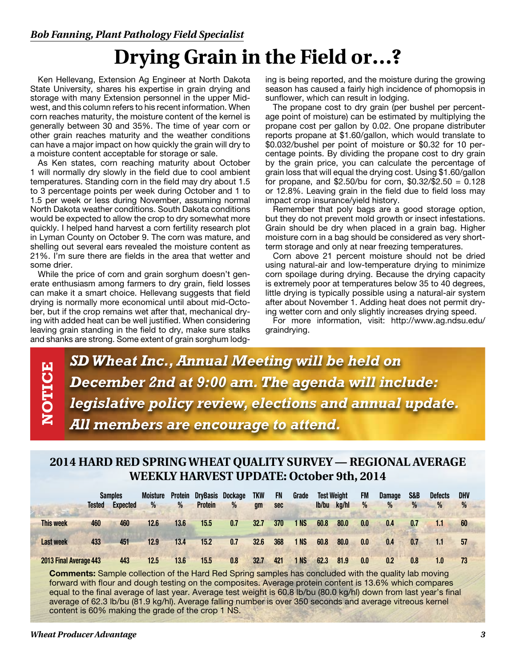# **Drying Grain in the Field or…?**

Ken Hellevang, Extension Ag Engineer at North Dakota State University, shares his expertise in grain drying and storage with many Extension personnel in the upper Midwest, and this column refers to his recent information. When corn reaches maturity, the moisture content of the kernel is generally between 30 and 35%. The time of year corn or other grain reaches maturity and the weather conditions can have a major impact on how quickly the grain will dry to a moisture content acceptable for storage or sale.

As Ken states, corn reaching maturity about October 1 will normally dry slowly in the field due to cool ambient temperatures. Standing corn in the field may dry about 1.5 to 3 percentage points per week during October and 1 to 1.5 per week or less during November, assuming normal North Dakota weather conditions. South Dakota conditions would be expected to allow the crop to dry somewhat more quickly. I helped hand harvest a corn fertility research plot in Lyman County on October 9. The corn was mature, and shelling out several ears revealed the moisture content as 21%. I'm sure there are fields in the area that wetter and some drier.

While the price of corn and grain sorghum doesn't generate enthusiasm among farmers to dry grain, field losses can make it a smart choice. Hellevang suggests that field drying is normally more economical until about mid-October, but if the crop remains wet after that, mechanical drying with added heat can be well justified. When considering leaving grain standing in the field to dry, make sure stalks and shanks are strong. Some extent of grain sorghum lodging is being reported, and the moisture during the growing season has caused a fairly high incidence of phomopsis in sunflower, which can result in lodging.

The propane cost to dry grain (per bushel per percentage point of moisture) can be estimated by multiplying the propane cost per gallon by 0.02. One propane distributer reports propane at \$1.60/gallon, which would translate to \$0.032/bushel per point of moisture or \$0.32 for 10 percentage points. By dividing the propane cost to dry grain by the grain price, you can calculate the percentage of grain loss that will equal the drying cost. Using \$1.60/gallon for propane, and  $$2.50/bu$  for corn,  $$0.32/\$2.50 = 0.128$ or 12.8%. Leaving grain in the field due to field loss may impact crop insurance/yield history.

Remember that poly bags are a good storage option, but they do not prevent mold growth or insect infestations. Grain should be dry when placed in a grain bag. Higher moisture corn in a bag should be considered as very shortterm storage and only at near freezing temperatures.

Corn above 21 percent moisture should not be dried using natural-air and low-temperature drying to minimize corn spoilage during drying. Because the drying capacity is extremely poor at temperatures below 35 to 40 degrees, little drying is typically possible using a natural-air system after about November 1. Adding heat does not permit drying wetter corn and only slightly increases drying speed.

For more information, visit: http://www.ag.ndsu.edu/ graindrying.

*SD Wheat Inc., Annual Meeting will be held on December 2nd at 9:00 am. The agenda will include: legislative policy review, elections and annual update. All members are encourage to attend.*

### **2014 HARD RED SPRING WHEAT QUALITY SURVEY — REGIONAL AVERAGE WEEKLY HARVEST UPDATE: October 9th, 2014**

|                        | <b>Tested</b> | <b>Samples</b><br><b>Expected</b> | <b>Moisture</b><br>% | <b>Protein</b><br>% | <b>DryBasis</b><br><b>Protein</b> | <b>Dockage</b><br>$\frac{0}{2}$ | <b>TKW</b><br>am | FN<br>sec | Grade           | lb/bu | <b>Test Weight</b><br>ka/hl | <b>FM</b><br>$\frac{0}{0}$ | <b>Damage</b><br>$\frac{0}{0}$ | S&B<br>$\%$ | <b>Defects</b><br>% | <b>DHV</b><br>% |  |
|------------------------|---------------|-----------------------------------|----------------------|---------------------|-----------------------------------|---------------------------------|------------------|-----------|-----------------|-------|-----------------------------|----------------------------|--------------------------------|-------------|---------------------|-----------------|--|
| <b>This week</b>       | 460           | 460                               | 12.6                 | 13.6                | 15.5                              | 0.7                             | 32.7             | 370       | 1 NS            | 60.8  | 80.0                        | 0.0                        | 0.4                            | 0.7         | 1.1                 | 60              |  |
| <b>Last week</b>       | 433           | 451                               | 12.9                 | 13.4                | 15.2                              | 0.7                             | 32.6             | 368       | 1 NS            | 60.8  | 80.0                        | 0.0                        | 0.4                            | 0.7         | 1.1                 | 57              |  |
| 2013 Final Average 443 |               | 443                               | 12.5                 | 13.6                | 15.5                              | 0.8                             | 32.7             | 421       | 1 <sub>NS</sub> | 62.3  | 81.9                        | 0.0                        | 0.2                            | 0.8         | 1.0                 | 73              |  |

**Comments:** Sample collection of the Hard Red Spring samples has concluded with the quality lab moving forward with flour and dough testing on the composites. Average protein content is 13.6% which compares equal to the final average of last year. Average test weight is 60.8 lb/bu (80.0 kg/hl) down from last year's final average of 62.3 lb/bu (81.9 kg/hl). Average falling number is over 350 seconds and average vitreous kernel content is 60% making the grade of the crop 1 NS.

**NOTICE**

**NOTICE**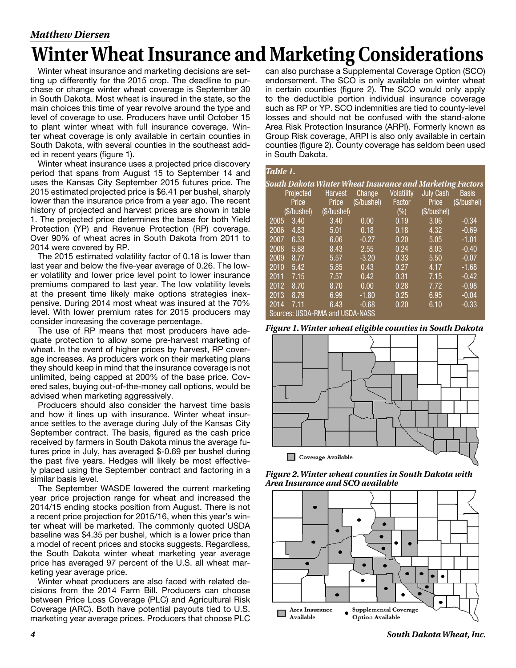### *Matthew Diersen*

# **Winter Wheat Insurance and Marketing Considerations**

Winter wheat insurance and marketing decisions are setting up differently for the 2015 crop. The deadline to purchase or change winter wheat coverage is September 30 in South Dakota. Most wheat is insured in the state, so the main choices this time of year revolve around the type and level of coverage to use. Producers have until October 15 to plant winter wheat with full insurance coverage. Winter wheat coverage is only available in certain counties in South Dakota, with several counties in the southeast added in recent years (figure 1).

Winter wheat insurance uses a projected price discovery period that spans from August 15 to September 14 and uses the Kansas City September 2015 futures price. The 2015 estimated projected price is \$6.41 per bushel, sharply lower than the insurance price from a year ago. The recent history of projected and harvest prices are shown in table 1. The projected price determines the base for both Yield Protection (YP) and Revenue Protection (RP) coverage. Over 90% of wheat acres in South Dakota from 2011 to 2014 were covered by RP.

The 2015 estimated volatility factor of 0.18 is lower than last year and below the five-year average of 0.26. The lower volatility and lower price level point to lower insurance premiums compared to last year. The low volatility levels at the present time likely make options strategies inexpensive. During 2014 most wheat was insured at the 70% level. With lower premium rates for 2015 producers may consider increasing the coverage percentage.

The use of RP means that most producers have adequate protection to allow some pre-harvest marketing of wheat. In the event of higher prices by harvest, RP coverage increases. As producers work on their marketing plans they should keep in mind that the insurance coverage is not unlimited, being capped at 200% of the base price. Covered sales, buying out-of-the-money call options, would be advised when marketing aggressively.

Producers should also consider the harvest time basis and how it lines up with insurance. Winter wheat insurance settles to the average during July of the Kansas City September contract. The basis, figured as the cash price received by farmers in South Dakota minus the average futures price in July, has averaged \$-0.69 per bushel during the past five years. Hedges will likely be most effectively placed using the September contract and factoring in a similar basis level.

The September WASDE lowered the current marketing year price projection range for wheat and increased the 2014/15 ending stocks position from August. There is not a recent price projection for 2015/16, when this year's winter wheat will be marketed. The commonly quoted USDA baseline was \$4.35 per bushel, which is a lower price than a model of recent prices and stocks suggests. Regardless, the South Dakota winter wheat marketing year average price has averaged 97 percent of the U.S. all wheat marketing year average price.

Winter wheat producers are also faced with related decisions from the 2014 Farm Bill. Producers can choose between Price Loss Coverage (PLC) and Agricultural Risk Coverage (ARC). Both have potential payouts tied to U.S. marketing year average prices. Producers that choose PLC

can also purchase a Supplemental Coverage Option (SCO) endorsement. The SCO is only available on winter wheat in certain counties (figure 2). The SCO would only apply to the deductible portion individual insurance coverage such as RP or YP. SCO indemnities are tied to county-level losses and should not be confused with the stand-alone Area Risk Protection Insurance (ARPI). Formerly known as Group Risk coverage, ARPI is also only available in certain counties (figure 2). County coverage has seldom been used in South Dakota.

| Table 1. |             |                                                                  |            |                   |                  |              |
|----------|-------------|------------------------------------------------------------------|------------|-------------------|------------------|--------------|
|          |             | <u>South Dakota Winter Wheat Insurance and Marketing Factors</u> |            |                   |                  |              |
|          | Projected   | <b>Harvest</b>                                                   | Change     | <b>Volatility</b> | <b>July Cash</b> | <b>Basis</b> |
|          | Price       | Price                                                            | (S/bushel) | Factor            | Price            | (\$/bushel)  |
|          | (\$/bushel) | (S/buShel)                                                       |            | $(\% )$           | (\$/bushel)      |              |
| 2005     | 3.40        | 3.40                                                             | 0.00       | 0.19              | 3.06             | $-0.34$      |
| 2006     | 4.83        | 5.01                                                             | 0.18       | 0.18              | 4.32             | $-0.69$      |
| 2007     | 6.33        | 6.06                                                             | $-0.27$    | 0.20              | 5.05             | $-1.01$      |
| 2008     | 5.88        | 8.43                                                             | 2.55       | 0.24              | 8.03             | $-0.40$      |
| 2009     | 8.77        | 5.57                                                             | $-3.20$    | 0.33              | 5.50             | $-0.07$      |
| 2010     | 5.42        | 5.85                                                             | 0.43       | 0.27              | 4.17             | $-1.68$      |
| 2011     | 7.15        | 7.57                                                             | 0.42       | 0.31              | 7.15             | $-0.42$      |
| 2012     | 8.70        | 8.70                                                             | 0.00       | 0.28              | 7.72             | $-0.98$      |
| 2013     | 8.79        | 6.99                                                             | $-1.80$    | 0.25              | 6.95             | $-0.04$      |
| 2014     | 7 11        | 6.43                                                             | $-0.68$    | 0.20              | 6.10             | $-0.33$      |
|          |             | Sources: USDA-RMA and USDA-NASS                                  |            |                   |                  |              |

*Figure 1. Winter wheat eligible counties in South Dakota*



*Figure 2. Winter wheat counties in South Dakota with Area Insurance and SCO available*



*4 South Dakota Wheat, Inc.*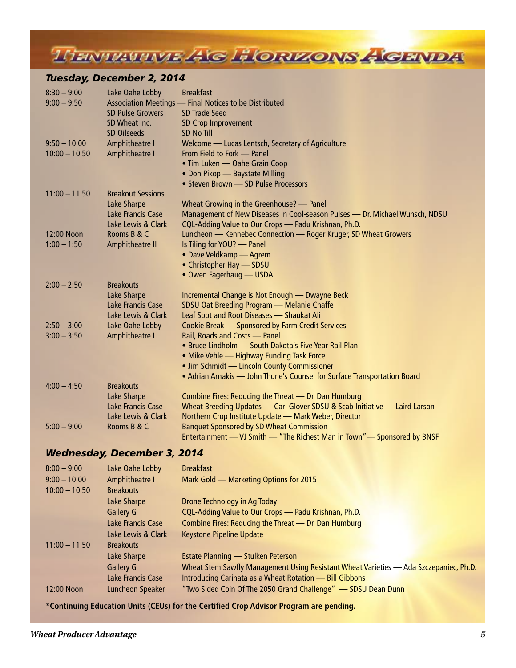THENTIAUTIVE AG HORIZONS AGENDA

### *Tuesday, December 2, 2014*

| $8:30 - 9:00$   | Lake Oahe Lobby                    | <b>Breakfast</b>                                                                |
|-----------------|------------------------------------|---------------------------------------------------------------------------------|
| $9:00 - 9:50$   |                                    | Association Meetings - Final Notices to be Distributed                          |
|                 | <b>SD Pulse Growers</b>            | <b>SD Trade Seed</b>                                                            |
|                 | SD Wheat Inc.                      | SD Crop Improvement<br><b>SD No Till</b>                                        |
| $9:50 - 10:00$  | <b>SD Oilseeds</b>                 |                                                                                 |
| $10:00 - 10:50$ | Amphitheatre I<br>Amphitheatre I   | Welcome — Lucas Lentsch, Secretary of Agriculture<br>From Field to Fork - Panel |
|                 |                                    | • Tim Luken - Oahe Grain Coop                                                   |
|                 |                                    | • Don Pikop - Baystate Milling                                                  |
|                 |                                    | • Steven Brown - SD Pulse Processors                                            |
| $11:00 - 11:50$ | <b>Breakout Sessions</b>           |                                                                                 |
|                 | Lake Sharpe                        | Wheat Growing in the Greenhouse? - Panel                                        |
|                 | <b>Lake Francis Case</b>           | Management of New Diseases in Cool-season Pulses - Dr. Michael Wunsch, NDSU     |
|                 | Lake Lewis & Clark                 | CQL-Adding Value to Our Crops - Padu Krishnan, Ph.D.                            |
| 12:00 Noon      | Rooms B & C                        | Luncheon - Kennebec Connection - Roger Kruger, SD Wheat Growers                 |
| $1:00 - 1:50$   | Amphitheatre II                    | Is Tiling for YOU? - Panel                                                      |
|                 |                                    | • Dave Veldkamp - Agrem                                                         |
|                 |                                    | • Christopher Hay - SDSU                                                        |
|                 |                                    | • Owen Fagerhaug - USDA                                                         |
| $2:00 - 2:50$   | <b>Breakouts</b>                   |                                                                                 |
|                 | Lake Sharpe                        | Incremental Change is Not Enough - Dwayne Beck                                  |
|                 | Lake Francis Case                  | SDSU Oat Breeding Program - Melanie Chaffe                                      |
|                 | Lake Lewis & Clark                 | Leaf Spot and Root Diseases - Shaukat Ali                                       |
| $2:50 - 3:00$   | Lake Oahe Lobby                    | Cookie Break - Sponsored by Farm Credit Services                                |
| $3:00 - 3:50$   | Amphitheatre I                     | Rail, Roads and Costs - Panel                                                   |
|                 |                                    | • Bruce Lindholm - South Dakota's Five Year Rail Plan                           |
|                 |                                    | • Mike Vehle - Highway Funding Task Force                                       |
|                 |                                    | • Jim Schmidt - Lincoln County Commissioner                                     |
| $4:00 - 4:50$   | <b>Breakouts</b>                   | • Adrian Arnakis - John Thune's Counsel for Surface Transportation Board        |
|                 | Lake Sharpe                        | Combine Fires: Reducing the Threat - Dr. Dan Humburg                            |
|                 | Lake Francis Case                  | Wheat Breeding Updates - Carl Glover SDSU & Scab Initiative - Laird Larson      |
|                 | Lake Lewis & Clark                 | Northern Crop Institute Update - Mark Weber, Director                           |
| $5:00 - 9:00$   | Rooms B & C                        | <b>Banquet Sponsored by SD Wheat Commission</b>                                 |
|                 |                                    | Entertainment — VJ Smith — "The Richest Man in Town" — Sponsored by BNSF        |
|                 | <b>Wednesday, December 3, 2014</b> |                                                                                 |
|                 |                                    |                                                                                 |
| $8:00 - 9:00$   | Lake Oahe Lobby                    | <b>Breakfast</b>                                                                |
| $9:00 - 10:00$  | Amphitheatre I                     | Mark Gold - Marketing Options for 2015                                          |
| $10:00 - 10:50$ | <b>Breakouts</b>                   |                                                                                 |
|                 | Lake Sharpe                        | Drone Technology in Ag Today                                                    |
|                 | <b>Gallery G</b>                   | CQL-Adding Value to Our Crops - Padu Krishnan, Ph.D.                            |
|                 | <b>Lake Francis Case</b>           | Combine Fires: Reducing the Threat - Dr. Dan Humburg                            |
|                 | Lake Lewis & Clark                 | <b>Keystone Pipeline Update</b>                                                 |
| $11:00 - 11:50$ | <b>Breakouts</b>                   |                                                                                 |

Lake Sharpe **Estate Planning — Stulken Peterson** Gallery G Wheat Stem Sawfly Management Using Resistant Wheat Varieties — Ada Szczepaniec, Ph.D. Lake Francis Case Introducing Carinata as a Wheat Rotation — Bill Gibbons 12:00 Noon Luncheon Speaker "Two Sided Coin Of The 2050 Grand Challenge" — SDSU Dean Dunn

**\*Continuing Education Units (CEUs) for the Certified Crop Advisor Program are pending.**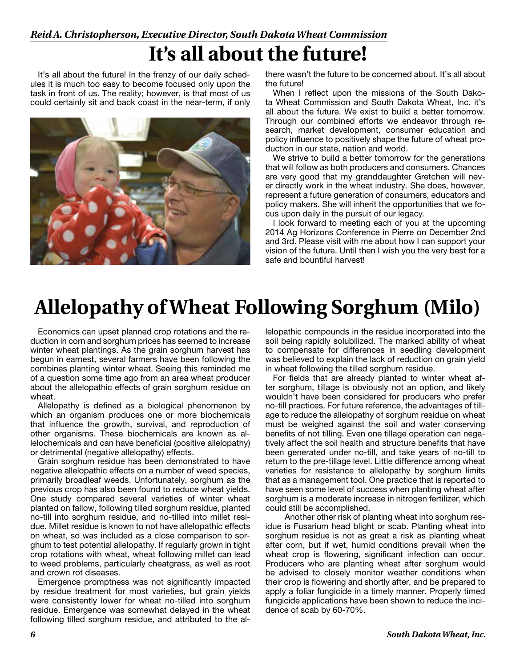### *Reid A. Christopherson, Executive Director, South Dakota Wheat Commission*

# **It's all about the future!**

It's all about the future! In the frenzy of our daily schedules it is much too easy to become focused only upon the task in front of us. The reality; however, is that most of us could certainly sit and back coast in the near-term, if only



there wasn't the future to be concerned about. It's all about the future!

When I reflect upon the missions of the South Dakota Wheat Commission and South Dakota Wheat, Inc. it's all about the future. We exist to build a better tomorrow. Through our combined efforts we endeavor through research, market development, consumer education and policy influence to positively shape the future of wheat production in our state, nation and world.

We strive to build a better tomorrow for the generations that will follow as both producers and consumers. Chances are very good that my granddaughter Gretchen will never directly work in the wheat industry. She does, however, represent a future generation of consumers, educators and policy makers. She will inherit the opportunities that we focus upon daily in the pursuit of our legacy.

I look forward to meeting each of you at the upcoming 2014 Ag Horizons Conference in Pierre on December 2nd and 3rd. Please visit with me about how I can support your vision of the future. Until then I wish you the very best for a safe and bountiful harvest!

# **Allelopathy of Wheat Following Sorghum (Milo)**

Economics can upset planned crop rotations and the reduction in corn and sorghum prices has seemed to increase winter wheat plantings. As the grain sorghum harvest has begun in earnest, several farmers have been following the combines planting winter wheat. Seeing this reminded me of a question some time ago from an area wheat producer about the allelopathic effects of grain sorghum residue on wheat.

Allelopathy is defined as a biological phenomenon by which an organism produces one or more biochemicals that influence the growth, survival, and reproduction of other organisms. These biochemicals are known as allelochemicals and can have beneficial (positive allelopathy) or detrimental (negative allelopathy) effects.

Grain sorghum residue has been demonstrated to have negative allelopathic effects on a number of weed species, primarily broadleaf weeds. Unfortunately, sorghum as the previous crop has also been found to reduce wheat yields. One study compared several varieties of winter wheat planted on fallow, following tilled sorghum residue, planted no-till into sorghum residue, and no-tilled into millet residue. Millet residue is known to not have allelopathic effects on wheat, so was included as a close comparison to sorghum to test potential allelopathy. If regularly grown in tight crop rotations with wheat, wheat following millet can lead to weed problems, particularly cheatgrass, as well as root and crown rot diseases.

Emergence promptness was not significantly impacted by residue treatment for most varieties, but grain yields were consistently lower for wheat no-tilled into sorghum residue. Emergence was somewhat delayed in the wheat following tilled sorghum residue, and attributed to the allelopathic compounds in the residue incorporated into the soil being rapidly solubilized. The marked ability of wheat to compensate for differences in seedling development was believed to explain the lack of reduction on grain yield in wheat following the tilled sorghum residue.

For fields that are already planted to winter wheat after sorghum, tillage is obviously not an option, and likely wouldn't have been considered for producers who prefer no-till practices. For future reference, the advantages of tillage to reduce the allelopathy of sorghum residue on wheat must be weighed against the soil and water conserving benefits of not tilling. Even one tillage operation can negatively affect the soil health and structure benefits that have been generated under no-till, and take years of no-till to return to the pre-tillage level. Little difference among wheat varieties for resistance to allelopathy by sorghum limits that as a management tool. One practice that is reported to have seen some level of success when planting wheat after sorghum is a moderate increase in nitrogen fertilizer, which could still be accomplished.

 Another other risk of planting wheat into sorghum residue is Fusarium head blight or scab. Planting wheat into sorghum residue is not as great a risk as planting wheat after corn, but if wet, humid conditions prevail when the wheat crop is flowering, significant infection can occur. Producers who are planting wheat after sorghum would be advised to closely monitor weather conditions when their crop is flowering and shortly after, and be prepared to apply a foliar fungicide in a timely manner. Properly timed fungicide applications have been shown to reduce the incidence of scab by 60-70%.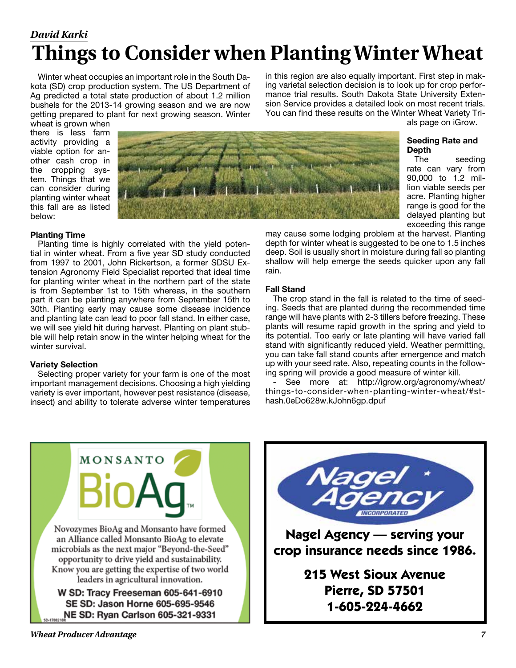## *David Karki* **Things to Consider when Planting Winter Wheat**

Winter wheat occupies an important role in the South Dakota (SD) crop production system. The US Department of Ag predicted a total state production of about 1.2 million bushels for the 2013-14 growing season and we are now getting prepared to plant for next growing season. Winter in this region are also equally important. First step in making varietal selection decision is to look up for crop performance trial results. South Dakota State University Extension Service provides a detailed look on most recent trials. You can find these results on the Winter Wheat Variety Trials page on iGrow.

wheat is grown when there is less farm activity providing a viable option for another cash crop in the cropping system. Things that we can consider during planting winter wheat this fall are as listed below:



#### **Planting Time**

Planting time is highly correlated with the yield potential in winter wheat. From a five year SD study conducted from 1997 to 2001, John Rickertson, a former SDSU Extension Agronomy Field Specialist reported that ideal time for planting winter wheat in the northern part of the state is from September 1st to 15th whereas, in the southern part it can be planting anywhere from September 15th to 30th. Planting early may cause some disease incidence and planting late can lead to poor fall stand. In either case, we will see yield hit during harvest. Planting on plant stubble will help retain snow in the winter helping wheat for the winter survival.

#### **Variety Selection**

Selecting proper variety for your farm is one of the most important management decisions. Choosing a high yielding variety is ever important, however pest resistance (disease, insect) and ability to tolerate adverse winter temperatures

#### **Seeding Rate and Depth**

The seeding rate can vary from 90,000 to 1.2 million viable seeds per acre. Planting higher range is good for the delayed planting but exceeding this range

may cause some lodging problem at the harvest. Planting depth for winter wheat is suggested to be one to 1.5 inches deep. Soil is usually short in moisture during fall so planting shallow will help emerge the seeds quicker upon any fall rain.

#### **Fall Stand**

The crop stand in the fall is related to the time of seeding. Seeds that are planted during the recommended time range will have plants with 2-3 tillers before freezing. These plants will resume rapid growth in the spring and yield to its potential. Too early or late planting will have varied fall stand with significantly reduced yield. Weather permitting, you can take fall stand counts after emergence and match up with your seed rate. Also, repeating counts in the following spring will provide a good measure of winter kill.

See more at: http://igrow.org/agronomy/wheat/ things-to-consider-when-planting-winter-wheat/#sthash.0eDo628w.kJohn6gp.dpuf